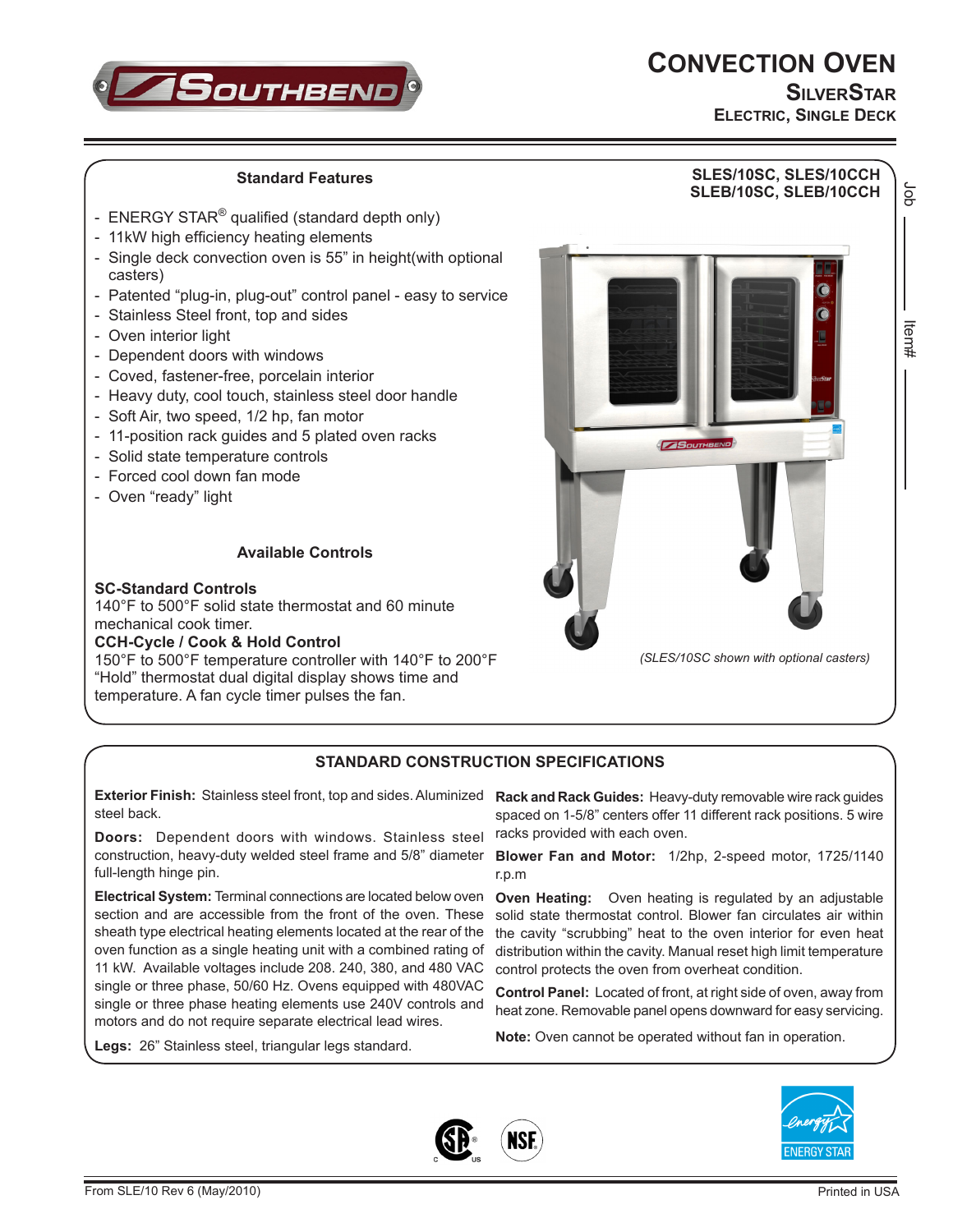# **CONVECTION OVEN**



**SilverStar ELECTRIC, SINGLE DECK**

#### **Standard Features**

- ENERGY STAR<sup>®</sup> qualified (standard depth only)
- 11kW high efficiency heating elements
- Single deck convection oven is 55" in height(with optional casters)
- Patented "plug-in, plug-out" control panel easy to service
- Stainless Steel front, top and sides
- Oven interior light
- Dependent doors with windows
- Coved, fastener-free, porcelain interior
- Heavy duty, cool touch, stainless steel door handle
- Soft Air, two speed, 1/2 hp, fan motor
- 11-position rack guides and 5 plated oven racks
- Solid state temperature controls
- Forced cool down fan mode
- Oven "ready" light

### **Available Controls**

#### **SC-Standard Controls**

140°F to 500°F solid state thermostat and 60 minute mechanical cook timer.

#### **CCH-Cycle / Cook & Hold Control**

150°F to 500°F temperature controller with 140°F to 200°F "Hold" thermostat dual digital display shows time and temperature. A fan cycle timer pulses the fan.



#### **STANDARD CONSTRUCTION SPECIFICATIONS**

**Exterior Finish:** Stainless steel front, top and sides. Aluminized **Rack and Rack Guides:** Heavy-duty removable wire rack guides steel back.

**Doors:** Dependent doors with windows. Stainless steel construction, heavy-duty welded steel frame and 5/8" diameter full-length hinge pin.

**Electrical System:** Terminal connections are located below oven section and are accessible from the front of the oven. These sheath type electrical heating elements located at the rear of the oven function as a single heating unit with a combined rating of 11 kW. Available voltages include 208. 240, 380, and 480 VAC single or three phase, 50/60 Hz. Ovens equipped with 480VAC single or three phase heating elements use 240V controls and motors and do not require separate electrical lead wires.

**Legs:** 26" Stainless steel, triangular legs standard.

spaced on 1-5/8" centers offer 11 different rack positions. 5 wire racks provided with each oven.

**Blower Fan and Motor:** 1/2hp, 2-speed motor, 1725/1140 r.p.m

**Oven Heating:** Oven heating is regulated by an adjustable solid state thermostat control. Blower fan circulates air within the cavity "scrubbing" heat to the oven interior for even heat distribution within the cavity. Manual reset high limit temperature control protects the oven from overheat condition.

**Control Panel:** Located of front, at right side of oven, away from heat zone. Removable panel opens downward for easy servicing.

**Note:** Oven cannot be operated without fan in operation.